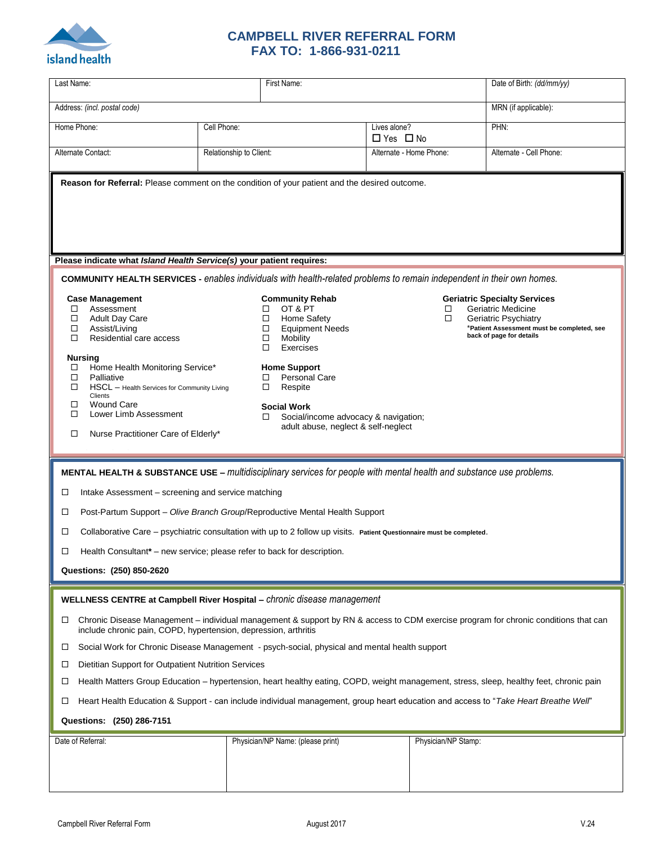

## **CAMPBELL RIVER REFERRAL FORM FAX TO: 1-866-931-0211**

| Last Name:                                                                                                                                                                                                                                                                                                                                                                                                                                                                                                                                                                                                                                                                                                                                                                                            |                         | First Name:                                                                                                                                                                                                                                                                                                                                                                                                                                                                                        |                                      |                         | Date of Birth: (dd/mm/yy) |  |
|-------------------------------------------------------------------------------------------------------------------------------------------------------------------------------------------------------------------------------------------------------------------------------------------------------------------------------------------------------------------------------------------------------------------------------------------------------------------------------------------------------------------------------------------------------------------------------------------------------------------------------------------------------------------------------------------------------------------------------------------------------------------------------------------------------|-------------------------|----------------------------------------------------------------------------------------------------------------------------------------------------------------------------------------------------------------------------------------------------------------------------------------------------------------------------------------------------------------------------------------------------------------------------------------------------------------------------------------------------|--------------------------------------|-------------------------|---------------------------|--|
| Address: (incl. postal code)                                                                                                                                                                                                                                                                                                                                                                                                                                                                                                                                                                                                                                                                                                                                                                          |                         |                                                                                                                                                                                                                                                                                                                                                                                                                                                                                                    |                                      |                         | MRN (if applicable):      |  |
| Home Phone:                                                                                                                                                                                                                                                                                                                                                                                                                                                                                                                                                                                                                                                                                                                                                                                           | Cell Phone:             |                                                                                                                                                                                                                                                                                                                                                                                                                                                                                                    | Lives alone?<br>$\Box$ Yes $\Box$ No |                         | PHN:                      |  |
| Alternate Contact:                                                                                                                                                                                                                                                                                                                                                                                                                                                                                                                                                                                                                                                                                                                                                                                    | Relationship to Client: |                                                                                                                                                                                                                                                                                                                                                                                                                                                                                                    |                                      | Alternate - Home Phone: | Alternate - Cell Phone:   |  |
| Reason for Referral: Please comment on the condition of your patient and the desired outcome.                                                                                                                                                                                                                                                                                                                                                                                                                                                                                                                                                                                                                                                                                                         |                         |                                                                                                                                                                                                                                                                                                                                                                                                                                                                                                    |                                      |                         |                           |  |
| Please indicate what Island Health Service(s) your patient requires:<br><b>COMMUNITY HEALTH SERVICES</b> - enables individuals with health-related problems to remain independent in their own homes.                                                                                                                                                                                                                                                                                                                                                                                                                                                                                                                                                                                                 |                         |                                                                                                                                                                                                                                                                                                                                                                                                                                                                                                    |                                      |                         |                           |  |
| <b>Case Management</b><br>Assessment<br>□<br><b>Adult Day Care</b><br>□<br>Assist/Living<br>□<br>Residential care access<br>□<br><b>Nursing</b><br>Home Health Monitoring Service*<br>Palliative<br>□<br>HSCL - Health Services for Community Living<br>□<br>Clients<br><b>Wound Care</b><br>ш<br>Lower Limb Assessment<br>□<br>Nurse Practitioner Care of Elderly*<br>□                                                                                                                                                                                                                                                                                                                                                                                                                              |                         | <b>Community Rehab</b><br><b>Geriatric Specialty Services</b><br>OT & PT<br>Geriatric Medicine<br>□<br>□<br>$\Box$<br>Home Safety<br>$\Box$<br>Geriatric Psychiatry<br>*Patient Assessment must be completed, see<br><b>Equipment Needs</b><br>□<br>back of page for details<br>□<br>Mobility<br>Exercises<br>□<br><b>Home Support</b><br><b>Personal Care</b><br>□<br>$\Box$<br>Respite<br><b>Social Work</b><br>Social/income advocacy & navigation;<br>□<br>adult abuse, neglect & self-neglect |                                      |                         |                           |  |
| MENTAL HEALTH & SUBSTANCE USE - multidisciplinary services for people with mental health and substance use problems.<br>Intake Assessment - screening and service matching<br>⊔<br>Post-Partum Support - Olive Branch Group/Reproductive Mental Health Support<br>□<br>Collaborative Care - psychiatric consultation with up to 2 follow up visits. Patient Questionnaire must be completed.<br>□<br>Health Consultant* - new service; please refer to back for description.<br>□<br>Questions: (250) 850-2620                                                                                                                                                                                                                                                                                        |                         |                                                                                                                                                                                                                                                                                                                                                                                                                                                                                                    |                                      |                         |                           |  |
|                                                                                                                                                                                                                                                                                                                                                                                                                                                                                                                                                                                                                                                                                                                                                                                                       |                         |                                                                                                                                                                                                                                                                                                                                                                                                                                                                                                    |                                      |                         |                           |  |
| WELLNESS CENTRE at Campbell River Hospital - chronic disease management<br>Chronic Disease Management - individual management & support by RN & access to CDM exercise program for chronic conditions that can<br>$\Box$<br>include chronic pain, COPD, hypertension, depression, arthritis<br>Social Work for Chronic Disease Management - psych-social, physical and mental health support<br>$\Box$<br>Dietitian Support for Outpatient Nutrition Services<br>$\Box$<br>Health Matters Group Education - hypertension, heart healthy eating, COPD, weight management, stress, sleep, healthy feet, chronic pain<br>$\Box$<br>Heart Health Education & Support - can include individual management, group heart education and access to "Take Heart Breathe Well"<br>⊔<br>Questions: (250) 286-7151 |                         |                                                                                                                                                                                                                                                                                                                                                                                                                                                                                                    |                                      |                         |                           |  |
| Date of Referral:                                                                                                                                                                                                                                                                                                                                                                                                                                                                                                                                                                                                                                                                                                                                                                                     |                         | Physician/NP Name: (please print)                                                                                                                                                                                                                                                                                                                                                                                                                                                                  |                                      | Physician/NP Stamp:     |                           |  |
|                                                                                                                                                                                                                                                                                                                                                                                                                                                                                                                                                                                                                                                                                                                                                                                                       |                         |                                                                                                                                                                                                                                                                                                                                                                                                                                                                                                    |                                      |                         |                           |  |